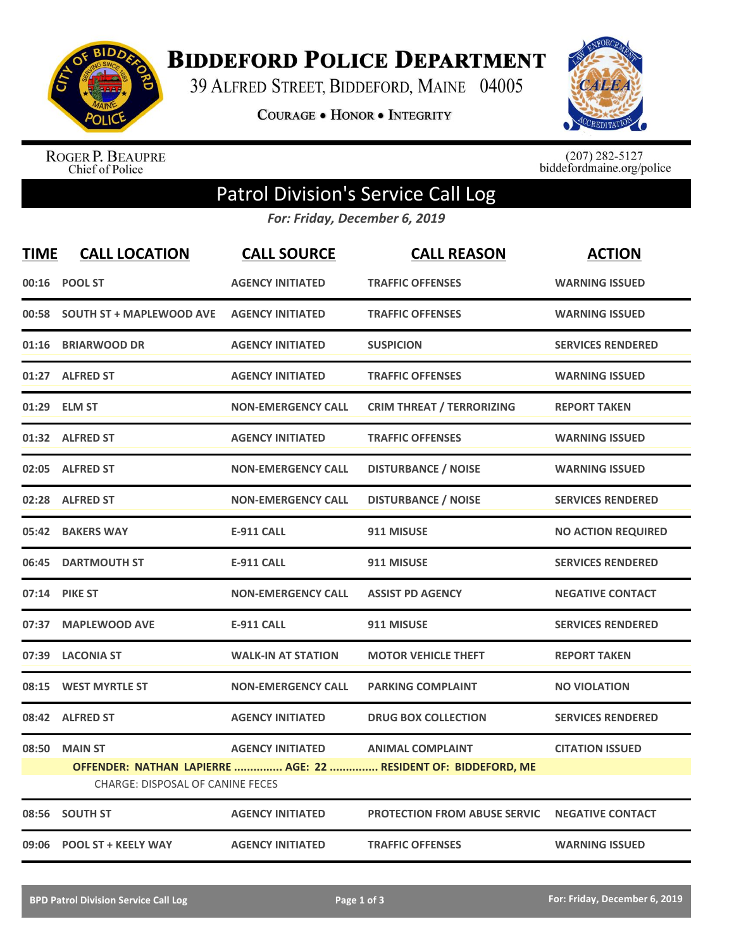

**BIDDEFORD POLICE DEPARTMENT** 

39 ALFRED STREET, BIDDEFORD, MAINE 04005

**COURAGE . HONOR . INTEGRITY** 



ROGER P. BEAUPRE<br>Chief of Police

 $(207)$  282-5127<br>biddefordmaine.org/police

## Patrol Division's Service Call Log

*For: Friday, December 6, 2019*

| <b>TIME</b> | <b>CALL LOCATION</b>             | <b>CALL SOURCE</b>        | <b>CALL REASON</b>                                             | <b>ACTION</b>             |
|-------------|----------------------------------|---------------------------|----------------------------------------------------------------|---------------------------|
|             | 00:16 POOL ST                    | <b>AGENCY INITIATED</b>   | <b>TRAFFIC OFFENSES</b>                                        | <b>WARNING ISSUED</b>     |
|             | 00:58 SOUTH ST + MAPLEWOOD AVE   | <b>AGENCY INITIATED</b>   | <b>TRAFFIC OFFENSES</b>                                        | <b>WARNING ISSUED</b>     |
| 01:16       | <b>BRIARWOOD DR</b>              | <b>AGENCY INITIATED</b>   | <b>SUSPICION</b>                                               | <b>SERVICES RENDERED</b>  |
|             | 01:27 ALFRED ST                  | <b>AGENCY INITIATED</b>   | <b>TRAFFIC OFFENSES</b>                                        | <b>WARNING ISSUED</b>     |
|             | 01:29 ELM ST                     | <b>NON-EMERGENCY CALL</b> | <b>CRIM THREAT / TERRORIZING</b>                               | <b>REPORT TAKEN</b>       |
|             | 01:32 ALFRED ST                  | <b>AGENCY INITIATED</b>   | <b>TRAFFIC OFFENSES</b>                                        | <b>WARNING ISSUED</b>     |
|             | 02:05 ALFRED ST                  | <b>NON-EMERGENCY CALL</b> | <b>DISTURBANCE / NOISE</b>                                     | <b>WARNING ISSUED</b>     |
|             | 02:28 ALFRED ST                  | <b>NON-EMERGENCY CALL</b> | <b>DISTURBANCE / NOISE</b>                                     | <b>SERVICES RENDERED</b>  |
|             | 05:42 BAKERS WAY                 | <b>E-911 CALL</b>         | 911 MISUSE                                                     | <b>NO ACTION REQUIRED</b> |
|             | 06:45 DARTMOUTH ST               | <b>E-911 CALL</b>         | 911 MISUSE                                                     | <b>SERVICES RENDERED</b>  |
|             | 07:14 PIKE ST                    | <b>NON-EMERGENCY CALL</b> | <b>ASSIST PD AGENCY</b>                                        | <b>NEGATIVE CONTACT</b>   |
| 07:37       | <b>MAPLEWOOD AVE</b>             | <b>E-911 CALL</b>         | 911 MISUSE                                                     | <b>SERVICES RENDERED</b>  |
|             | 07:39 LACONIA ST                 | <b>WALK-IN AT STATION</b> | <b>MOTOR VEHICLE THEFT</b>                                     | <b>REPORT TAKEN</b>       |
|             | 08:15 WEST MYRTLE ST             | <b>NON-EMERGENCY CALL</b> | <b>PARKING COMPLAINT</b>                                       | <b>NO VIOLATION</b>       |
|             | 08:42 ALFRED ST                  | <b>AGENCY INITIATED</b>   | <b>DRUG BOX COLLECTION</b>                                     | <b>SERVICES RENDERED</b>  |
|             | 08:50 MAIN ST                    | <b>AGENCY INITIATED</b>   | <b>ANIMAL COMPLAINT</b>                                        | <b>CITATION ISSUED</b>    |
|             | CHARGE: DISPOSAL OF CANINE FECES |                           | OFFENDER: NATHAN LAPIERRE  AGE: 22  RESIDENT OF: BIDDEFORD, ME |                           |
|             | 08:56 SOUTH ST                   | <b>AGENCY INITIATED</b>   | <b>PROTECTION FROM ABUSE SERVIC</b>                            | <b>NEGATIVE CONTACT</b>   |
|             | 09:06 POOL ST + KEELY WAY        | <b>AGENCY INITIATED</b>   | <b>TRAFFIC OFFENSES</b>                                        | <b>WARNING ISSUED</b>     |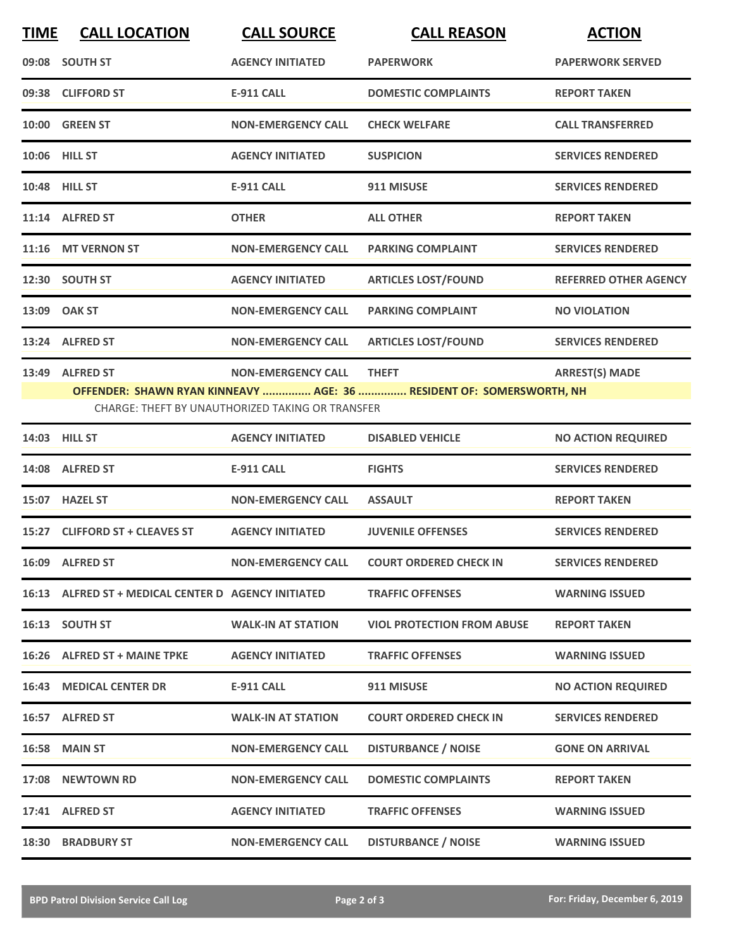| <b>TIME</b> | <b>CALL LOCATION</b>                                | <b>CALL SOURCE</b>                                                            | <b>CALL REASON</b>                                                                   | <b>ACTION</b>                |
|-------------|-----------------------------------------------------|-------------------------------------------------------------------------------|--------------------------------------------------------------------------------------|------------------------------|
|             | 09:08 SOUTH ST                                      | <b>AGENCY INITIATED</b>                                                       | <b>PAPERWORK</b>                                                                     | <b>PAPERWORK SERVED</b>      |
|             | 09:38 CLIFFORD ST                                   | <b>E-911 CALL</b>                                                             | <b>DOMESTIC COMPLAINTS</b>                                                           | <b>REPORT TAKEN</b>          |
|             | 10:00 GREEN ST                                      | <b>NON-EMERGENCY CALL</b>                                                     | <b>CHECK WELFARE</b>                                                                 | <b>CALL TRANSFERRED</b>      |
|             | 10:06 HILL ST                                       | <b>AGENCY INITIATED</b>                                                       | <b>SUSPICION</b>                                                                     | <b>SERVICES RENDERED</b>     |
|             | 10:48 HILL ST                                       | <b>E-911 CALL</b>                                                             | 911 MISUSE                                                                           | <b>SERVICES RENDERED</b>     |
|             | 11:14 ALFRED ST                                     | <b>OTHER</b>                                                                  | <b>ALL OTHER</b>                                                                     | <b>REPORT TAKEN</b>          |
|             | 11:16 MT VERNON ST                                  | <b>NON-EMERGENCY CALL</b>                                                     | <b>PARKING COMPLAINT</b>                                                             | <b>SERVICES RENDERED</b>     |
|             | 12:30 SOUTH ST                                      | <b>AGENCY INITIATED</b>                                                       | <b>ARTICLES LOST/FOUND</b>                                                           | <b>REFERRED OTHER AGENCY</b> |
|             | 13:09 OAK ST                                        | <b>NON-EMERGENCY CALL</b>                                                     | <b>PARKING COMPLAINT</b>                                                             | <b>NO VIOLATION</b>          |
|             | 13:24 ALFRED ST                                     | <b>NON-EMERGENCY CALL</b>                                                     | <b>ARTICLES LOST/FOUND</b>                                                           | <b>SERVICES RENDERED</b>     |
|             | 13:49 ALFRED ST                                     | <b>NON-EMERGENCY CALL</b><br>CHARGE: THEFT BY UNAUTHORIZED TAKING OR TRANSFER | <b>THEFT</b><br>OFFENDER: SHAWN RYAN KINNEAVY  AGE: 36  RESIDENT OF: SOMERSWORTH, NH | <b>ARREST(S) MADE</b>        |
|             | 14:03 HILL ST                                       | <b>AGENCY INITIATED</b>                                                       | <b>DISABLED VEHICLE</b>                                                              | <b>NO ACTION REQUIRED</b>    |
|             | 14:08 ALFRED ST                                     | <b>E-911 CALL</b>                                                             | <b>FIGHTS</b>                                                                        | <b>SERVICES RENDERED</b>     |
|             | 15:07 HAZEL ST                                      | <b>NON-EMERGENCY CALL</b>                                                     | <b>ASSAULT</b>                                                                       | <b>REPORT TAKEN</b>          |
|             | 15:27 CLIFFORD ST + CLEAVES ST                      | <b>AGENCY INITIATED</b>                                                       | <b>JUVENILE OFFENSES</b>                                                             | <b>SERVICES RENDERED</b>     |
|             | 16:09 ALFRED ST                                     | <b>NON-EMERGENCY CALL</b>                                                     | <b>COURT ORDERED CHECK IN</b>                                                        | <b>SERVICES RENDERED</b>     |
|             | 16:13 ALFRED ST + MEDICAL CENTER D AGENCY INITIATED |                                                                               | <b>TRAFFIC OFFENSES</b>                                                              | <b>WARNING ISSUED</b>        |
|             | 16:13 SOUTH ST                                      | <b>WALK-IN AT STATION</b>                                                     | <b>VIOL PROTECTION FROM ABUSE</b>                                                    | <b>REPORT TAKEN</b>          |
|             | 16:26 ALFRED ST + MAINE TPKE                        | <b>AGENCY INITIATED</b>                                                       | <b>TRAFFIC OFFENSES</b>                                                              | <b>WARNING ISSUED</b>        |
|             | <b>16:43 MEDICAL CENTER DR</b>                      | E-911 CALL                                                                    | 911 MISUSE                                                                           | <b>NO ACTION REQUIRED</b>    |
|             | 16:57 ALFRED ST                                     | <b>WALK-IN AT STATION</b>                                                     | <b>COURT ORDERED CHECK IN</b>                                                        | <b>SERVICES RENDERED</b>     |
|             | <b>16:58 MAIN ST</b>                                | <b>NON-EMERGENCY CALL</b>                                                     | <b>DISTURBANCE / NOISE</b>                                                           | <b>GONE ON ARRIVAL</b>       |
|             | 17:08 NEWTOWN RD                                    | <b>NON-EMERGENCY CALL</b>                                                     | <b>DOMESTIC COMPLAINTS</b>                                                           | <b>REPORT TAKEN</b>          |
|             | 17:41 ALFRED ST                                     | <b>AGENCY INITIATED</b>                                                       | <b>TRAFFIC OFFENSES</b>                                                              | <b>WARNING ISSUED</b>        |
|             | <b>18:30 BRADBURY ST</b>                            | <b>NON-EMERGENCY CALL</b>                                                     | <b>DISTURBANCE / NOISE</b>                                                           | <b>WARNING ISSUED</b>        |